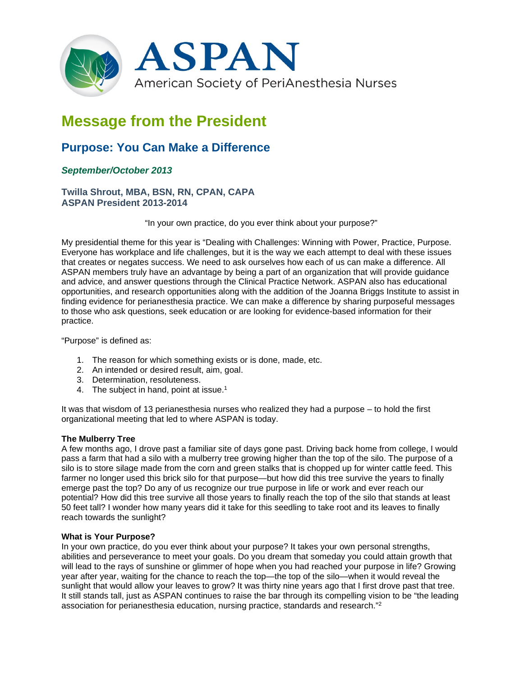

# **Message from the President**

## **Purpose: You Can Make a Difference**

### *September/October 2013*

#### **Twilla Shrout, MBA, BSN, RN, CPAN, CAPA ASPAN President 2013-2014**

"In your own practice, do you ever think about your purpose?"

My presidential theme for this year is "Dealing with Challenges: Winning with Power, Practice, Purpose. Everyone has workplace and life challenges, but it is the way we each attempt to deal with these issues that creates or negates success. We need to ask ourselves how each of us can make a difference. All ASPAN members truly have an advantage by being a part of an organization that will provide guidance and advice, and answer questions through the Clinical Practice Network. ASPAN also has educational opportunities, and research opportunities along with the addition of the Joanna Briggs Institute to assist in finding evidence for perianesthesia practice. We can make a difference by sharing purposeful messages to those who ask questions, seek education or are looking for evidence-based information for their practice.

"Purpose" is defined as:

- 1. The reason for which something exists or is done, made, etc.
- 2. An intended or desired result, aim, goal.
- 3. Determination, resoluteness.
- 4. The subject in hand, point at issue.<sup>1</sup>

It was that wisdom of 13 perianesthesia nurses who realized they had a purpose – to hold the first organizational meeting that led to where ASPAN is today.

#### **The Mulberry Tree**

A few months ago, I drove past a familiar site of days gone past. Driving back home from college, I would pass a farm that had a silo with a mulberry tree growing higher than the top of the silo. The purpose of a silo is to store silage made from the corn and green stalks that is chopped up for winter cattle feed. This farmer no longer used this brick silo for that purpose—but how did this tree survive the years to finally emerge past the top? Do any of us recognize our true purpose in life or work and ever reach our potential? How did this tree survive all those years to finally reach the top of the silo that stands at least 50 feet tall? I wonder how many years did it take for this seedling to take root and its leaves to finally reach towards the sunlight?

#### **What is Your Purpose?**

In your own practice, do you ever think about your purpose? It takes your own personal strengths, abilities and perseverance to meet your goals. Do you dream that someday you could attain growth that will lead to the rays of sunshine or glimmer of hope when you had reached your purpose in life? Growing year after year, waiting for the chance to reach the top—the top of the silo—when it would reveal the sunlight that would allow your leaves to grow? It was thirty nine years ago that I first drove past that tree. It still stands tall, just as ASPAN continues to raise the bar through its compelling vision to be "the leading association for perianesthesia education, nursing practice, standards and research."2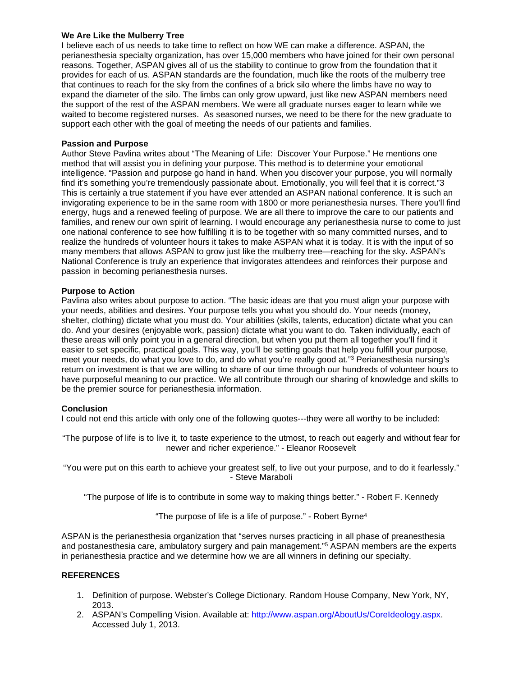#### **We Are Like the Mulberry Tree**

I believe each of us needs to take time to reflect on how WE can make a difference. ASPAN, the perianesthesia specialty organization, has over 15,000 members who have joined for their own personal reasons. Together, ASPAN gives all of us the stability to continue to grow from the foundation that it provides for each of us. ASPAN standards are the foundation, much like the roots of the mulberry tree that continues to reach for the sky from the confines of a brick silo where the limbs have no way to expand the diameter of the silo. The limbs can only grow upward, just like new ASPAN members need the support of the rest of the ASPAN members. We were all graduate nurses eager to learn while we waited to become registered nurses. As seasoned nurses, we need to be there for the new graduate to support each other with the goal of meeting the needs of our patients and families.

#### **Passion and Purpose**

Author Steve Pavlina writes about "The Meaning of Life: Discover Your Purpose." He mentions one method that will assist you in defining your purpose. This method is to determine your emotional intelligence. "Passion and purpose go hand in hand. When you discover your purpose, you will normally find it's something you're tremendously passionate about. Emotionally, you will feel that it is correct."3 This is certainly a true statement if you have ever attended an ASPAN national conference. It is such an invigorating experience to be in the same room with 1800 or more perianesthesia nurses. There you'll find energy, hugs and a renewed feeling of purpose. We are all there to improve the care to our patients and families, and renew our own spirit of learning. I would encourage any perianesthesia nurse to come to just one national conference to see how fulfilling it is to be together with so many committed nurses, and to realize the hundreds of volunteer hours it takes to make ASPAN what it is today. It is with the input of so many members that allows ASPAN to grow just like the mulberry tree—reaching for the sky. ASPAN's National Conference is truly an experience that invigorates attendees and reinforces their purpose and passion in becoming perianesthesia nurses.

#### **Purpose to Action**

Pavlina also writes about purpose to action. "The basic ideas are that you must align your purpose with your needs, abilities and desires. Your purpose tells you what you should do. Your needs (money, shelter, clothing) dictate what you must do. Your abilities (skills, talents, education) dictate what you can do. And your desires (enjoyable work, passion) dictate what you want to do. Taken individually, each of these areas will only point you in a general direction, but when you put them all together you'll find it easier to set specific, practical goals. This way, you'll be setting goals that help you fulfill your purpose, meet your needs, do what you love to do, and do what you're really good at."3 Perianesthesia nursing's return on investment is that we are willing to share of our time through our hundreds of volunteer hours to have purposeful meaning to our practice. We all contribute through our sharing of knowledge and skills to be the premier source for perianesthesia information.

#### **Conclusion**

I could not end this article with only one of the following quotes---they were all worthy to be included:

"The purpose of life is to live it, to taste experience to the utmost, to reach out eagerly and without fear for newer and richer experience." - Eleanor Roosevelt

"You were put on this earth to achieve your greatest self, to live out your purpose, and to do it fearlessly." - Steve Maraboli

"The purpose of life is to contribute in some way to making things better." - Robert F. Kennedy

"The purpose of life is a life of purpose." - Robert Byrne4

ASPAN is the perianesthesia organization that "serves nurses practicing in all phase of preanesthesia and postanesthesia care, ambulatory surgery and pain management."<sup>5</sup> ASPAN members are the experts in perianesthesia practice and we determine how we are all winners in defining our specialty.

#### **REFERENCES**

- 1. Definition of purpose. Webster's College Dictionary. Random House Company, New York, NY, 2013.
- 2. ASPAN's Compelling Vision. Available at: [http://www.aspan.org/AboutUs/CoreIdeology.aspx.](http://www.aspan.org/AboutUs/CoreIdeology.aspx) Accessed July 1, 2013.